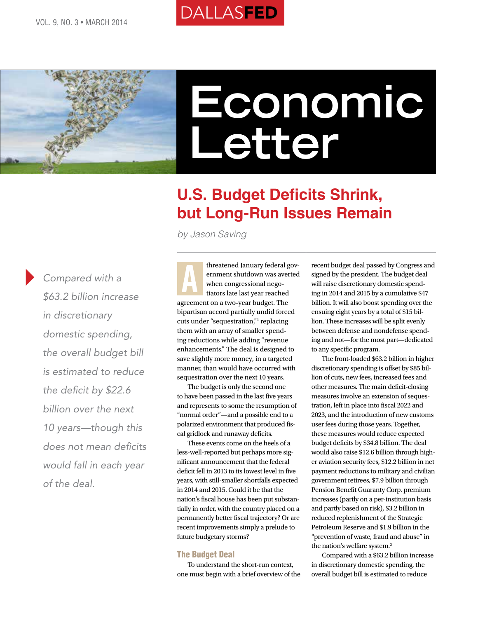



# **Economic Letter**

## **U.S. Budget Deficits Shrink, but Long-Run Issues Remain**

*by Jason Saving*

*Compared with a \$63.2 billion increase in discretionary domestic spending, the overall budget bill is estimated to reduce the deficit by \$22.6 billion over the next 10 years—though this does not mean deficits would fall in each year of the deal.*

threatened January federal government shutdown was averted when congressional negotiators late last year reached agreement on a two-year budget. The bipartisan accord partially undid forced cuts under "sequestration," replacing them with an array of smaller spending reductions while adding "revenue enhancements." The deal is designed to save slightly more money, in a targeted manner, than would have occurred with sequestration over the next 10 years. A

The budget is only the second one to have been passed in the last five years and represents to some the resumption of "normal order"—and a possible end to a polarized environment that produced fiscal gridlock and runaway deficits.

These events come on the heels of a less-well-reported but perhaps more significant announcement that the federal deficit fell in 2013 to its lowest level in five years, with still-smaller shortfalls expected in 2014 and 2015. Could it be that the nation's fiscal house has been put substantially in order, with the country placed on a permanently better fiscal trajectory? Or are recent improvements simply a prelude to future budgetary storms?

## The Budget Deal

To understand the short-run context, one must begin with a brief overview of the

recent budget deal passed by Congress and signed by the president. The budget deal will raise discretionary domestic spending in 2014 and 2015 by a cumulative \$47 billion. It will also boost spending over the ensuing eight years by a total of \$15 billion. These increases will be split evenly between defense and nondefense spending and not—for the most part—dedicated to any specific program.

The front-loaded \$63.2 billion in higher discretionary spending is offset by \$85 billion of cuts, new fees, increased fees and other measures. The main deficit-closing measures involve an extension of sequestration, left in place into fiscal 2022 and 2023, and the introduction of new customs user fees during those years. Together, these measures would reduce expected budget deficits by \$34.8 billion. The deal would also raise \$12.6 billion through higher aviation security fees, \$12.2 billion in net payment reductions to military and civilian government retirees, \$7.9 billion through Pension Benefit Guaranty Corp. premium increases (partly on a per-institution basis and partly based on risk), \$3.2 billion in reduced replenishment of the Strategic Petroleum Reserve and \$1.9 billion in the "prevention of waste, fraud and abuse" in the nation's welfare system.<sup>2</sup>

Compared with a \$63.2 billion increase in discretionary domestic spending, the overall budget bill is estimated to reduce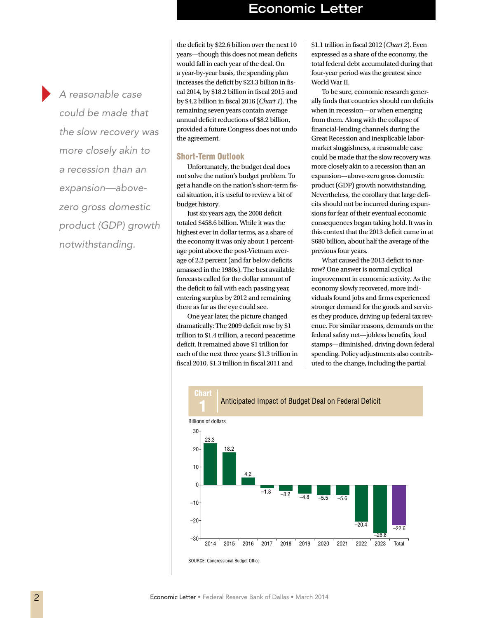*A reasonable case could be made that the slow recovery was more closely akin to a recession than an expansion—abovezero gross domestic product (GDP) growth notwithstanding.*

the deficit by \$22.6 billion over the next 10 years—though this does not mean deficits would fall in each year of the deal. On a year-by-year basis, the spending plan increases the deficit by \$23.3 billion in fiscal 2014, by \$18.2 billion in fiscal 2015 and by \$4.2 billion in fiscal 2016 (*Chart 1*). The remaining seven years contain average annual deficit reductions of \$8.2 billion, provided a future Congress does not undo the agreement.

### Short-Term Outlook

Unfortunately, the budget deal does not solve the nation's budget problem. To get a handle on the nation's short-term fiscal situation, it is useful to review a bit of budget history.

Just six years ago, the 2008 deficit totaled \$458.6 billion. While it was the highest ever in dollar terms, as a share of the economy it was only about 1 percentage point above the post-Vietnam average of 2.2 percent (and far below deficits amassed in the 1980s). The best available forecasts called for the dollar amount of the deficit to fall with each passing year, entering surplus by 2012 and remaining there as far as the eye could see.

One year later, the picture changed dramatically: The 2009 deficit rose by \$1 trillion to \$1.4 trillion, a record peacetime deficit. It remained above \$1 trillion for each of the next three years: \$1.3 trillion in fiscal 2010, \$1.3 trillion in fiscal 2011 and

\$1.1 trillion in fiscal 2012 (*Chart 2*). Even expressed as a share of the economy, the total federal debt accumulated during that four-year period was the greatest since World War II.

To be sure, economic research generally finds that countries should run deficits when in recession—or when emerging from them. Along with the collapse of financial-lending channels during the Great Recession and inexplicable labormarket sluggishness, a reasonable case could be made that the slow recovery was more closely akin to a recession than an expansion—above-zero gross domestic product (GDP) growth notwithstanding. Nevertheless, the corollary that large deficits should not be incurred during expansions for fear of their eventual economic consequences began taking hold. It was in this context that the 2013 deficit came in at \$680 billion, about half the average of the previous four years.

What caused the 2013 deficit to narrow? One answer is normal cyclical improvement in economic activity. As the economy slowly recovered, more individuals found jobs and firms experienced stronger demand for the goods and services they produce, driving up federal tax revenue. For similar reasons, demands on the federal safety net—jobless benefits, food stamps—diminished, driving down federal spending. Policy adjustments also contributed to the change, including the partial

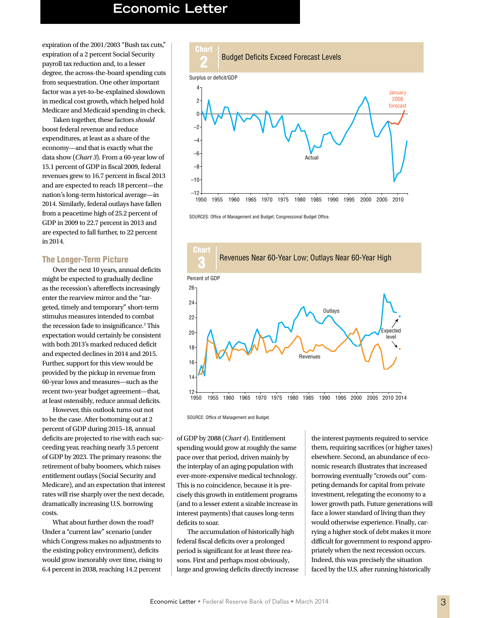## **Economic Letter Economic Letter**

expiration of the 2001/2003 "Bush tax cuts," expiration of a 2 percent Social Security payroll tax reduction and, to a lesser degree, the across-the-board spending cuts from sequestration. One other important factor was a yet-to-be-explained slowdown in medical cost growth, which helped hold Medicare and Medicaid spending in check.

Taken together, these factors *should* boost federal revenue and reduce expenditures, at least as a share of the economy—and that is exactly what the data show (*Chart 3*). From a 60-year low of 15.1 percent of GDP in fiscal 2009, federal revenues grew to 16.7 percent in fiscal 2013 and are expected to reach 18 percent—the nation's long-term historical average—in 2014. Similarly, federal outlays have fallen from a peacetime high of 25.2 percent of GDP in 2009 to 22.7 percent in 2013 and are expected to fall further, to 22 percent in 2014.

### The Longer-Term Picture

Over the next 10 years, annual deficits might be expected to gradually decline as the recession's aftereffects increasingly enter the rearview mirror and the "targeted, timely and temporary" short-term stimulus measures intended to combat the recession fade to insignificance.<sup>3</sup> This expectation would certainly be consistent with both 2013's marked reduced deficit and expected declines in 2014 and 2015. Further, support for this view would be provided by the pickup in revenue from 60-year lows and measures—such as the recent two-year budget agreement—that, at least ostensibly, reduce annual deficits.

However, this outlook turns out not to be the case. After bottoming out at 2 percent of GDP during 2015–18, annual deficits are projected to rise with each succeeding year, reaching nearly 3.5 percent of GDP by 2023. The primary reasons: the retirement of baby boomers, which raises entitlement outlays (Social Security and Medicare), and an expectation that interest rates will rise sharply over the next decade, dramatically increasing U.S. borrowing costs.

What about further down the road? Under a "current law" scenario (under which Congress makes no adjustments to the existing policy environment), deficits would grow inexorably over time, rising to 6.4 percent in 2038, reaching 14.2 percent





SOURCES: Office of Management and Budget; Congressional Budget Office.



SOURCE: Office of Management and Budget.

of GDP by 2088 (*Chart 4*). Entitlement spending would grow at roughly the same pace over that period, driven mainly by the interplay of an aging population with ever-more-expensive medical technology. This is no coincidence, because it is precisely this growth in entitlement programs (and to a lesser extent a sizable increase in interest payments) that causes long-term deficits to soar.

The accumulation of historically high federal fiscal deficits over a prolonged period is significant for at least three reasons. First and perhaps most obviously, large and growing deficits directly increase

the interest payments required to service them, requiring sacrifices (or higher taxes) elsewhere. Second, an abundance of economic research illustrates that increased borrowing eventually "crowds out" competing demands for capital from private investment, relegating the economy to a lower growth path. Future generations will face a lower standard of living than they would otherwise experience. Finally, carrying a higher stock of debt makes it more difficult for government to respond appropriately when the next recession occurs. Indeed, this was precisely the situation faced by the U.S. after running historically